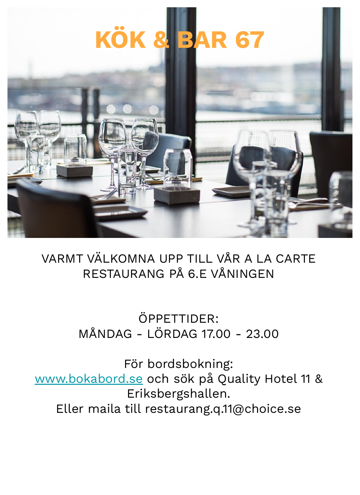# **KÖK & BAR 67**



# VARMT VÄLKOMNA UPP TILL VÅR A LA CARTE RESTAURANG PÅ 6.E VÅNINGEN

# ÖPPETTIDER: MÅNDAG - LÖRDAG 17.00 - 23.00

För bordsbokning: [www.bokabord.se](http://www.bokabord.se) och sök på Quality Hotel 11 & Eriksbergshallen. Eller maila till restaurang.q.11@choice.se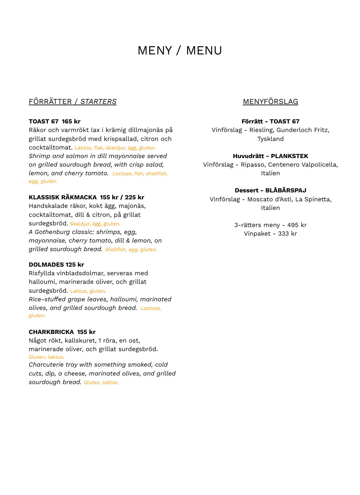# MENY / MENU

# FÖRRÄTTER / *STARTERS*

#### **TOAST 67 165 kr**

Räkor och varmrökt lax i krämig dillmajonäs på grillat surdegsbröd med krispsallad, citron och cocktailtomat. Laktos, fisk, skaldjur, ägg, gluten. *Shrimp and salmon in dill mayonnaise served on grilled sourdough bread, with crisp salad, lemon, and cherry tomato. Lactose, fish, shellfish, egg, gluten.*

#### **KLASSISK RÄKMACKA 155 kr / 225 kr**

Handskalade räkor, kokt ägg, majonäs, cocktailtomat, dill & citron, på grillat surdegsbröd. Skaldjur, ägg, gluten. *A Gothenburg classic: shrimps, egg, mayonnaise, cherry tomato, dill & lemon, on grilled sourdough bread. Shellfish, egg, gluten.*

# **DOLMADES 125 kr**

Risfyllda vinbladsdolmar, serveras med halloumi, marinerade oliver, och grillat surdegsbröd. Laktos, gluten. *Rice-stuffed grape leaves, halloumi, marinated olives, and grilled sourdough bread. Lactose, gluten.*

#### **CHARKBRICKA 155 kr**

Något rökt, kallskuret, 1 röra, en ost, marinerade oliver, och grillat surdegsbröd. Gluten, laktos. *Charcuterie tray with something smoked, cold cuts, dip, a cheese, marinated olives, and grilled sourdough bread. Gluten, laktos.*

# MENYFÖRSLAG

#### **Förrätt - TOAST 67**

Vinförslag - Riesling, Gunderloch Fritz, Tyskland

#### **Huvudrätt - PLANKSTEK**

Vinförslag - Ripasso, Centenero Valpolicella, Italien

# **Dessert - BLÅBÄRSPAJ**

Vinförslag - Moscato d'Asti, La Spinetta, Italien

> 3-rätters meny - 495 kr Vinpaket - 333 kr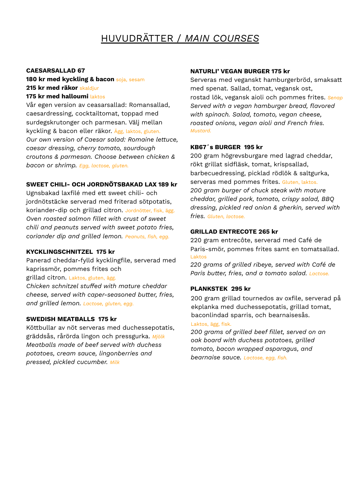# HUVUDRÄTTER / *MAIN COURSES*

#### **CAESARSALLAD 67**

## **180 kr med kyckling & bacon** soja, sesam **215 kr med räkor** skaldjur **175 kr med halloumi** laktos

Vår egen version av ceasarsallad: Romansallad, caesardressing, cocktailtomat, toppad med surdegskrutonger och parmesan. Välj mellan kyckling & bacon eller räkor. Ägg, laktos, gluten. *Our own version of Caesar salad: Romaine lettuce, caesar dressing, cherry tomato, sourdough croutons & parmesan. Choose between chicken & bacon or shrimp. Egg, lactose, gluten.*

# **SWEET CHILI- OCH JORDNÖTSBAKAD LAX 189 kr**

Ugnsbakad laxfilé med ett sweet chili- och jordnötstäcke serverad med friterad sötpotatis, koriander-dip och grillad citron. Jordnötter, fisk, ägg. *Oven roasted salmon fillet with crust of sweet chili and peanuts served with sweet potato fries, coriander dip and grilled lemon. Peanuts, fish, egg.*

# **KYCKLINGSCHNITZEL 175 kr**

Panerad cheddar-fylld kycklingfile, serverad med kaprissmör, pommes frites och grillad citron. Laktos, gluten, ägg. *Chicken schnitzel stuffed with mature cheddar cheese, served with caper-seasoned butter, fries, and grilled lemon. Lactose, gluten, egg.*

# **SWEDISH MEATBALLS 175 kr**

Köttbullar av nöt serveras med duchessepotatis, gräddsås, rårörda lingon och pressgurka. *Mjölk Meatballs made of beef served with duchess potatoes, cream sauce, lingonberries and pressed, pickled cucumber. Milk*

## **NATURLI' VEGAN BURGER 175 kr**

Serveras med veganskt hamburgerbröd, smaksatt med spenat. Sallad, tomat, vegansk ost, rostad lök, vegansk aioli och pommes frites. *Senap Served with a vegan hamburger bread, flavored with spinach. Salad, tomato, vegan cheese, roasted onions, vegan aioli and French fries. Mustard.*

## **KB67´s BURGER 195 kr**

200 gram högrevsburgare med lagrad cheddar, rökt grillat sidfläsk, tomat, krispsallad, barbecuedressing, picklad rödlök & saltgurka, serveras med pommes frites. Gluten, laktos. *200 gram burger of chuck steak with mature cheddar, grilled pork, tomato, crispy salad, BBQ dressing, pickled red onion & gherkin, served with fries. Gluten, lactose.*

## **GRILLAD ENTRECOTE 265 kr**

220 gram entrecôte, serverad med Café de Paris-smör, pommes frites samt en tomatsallad. Laktos

*220 grams of grilled ribeye, served with Café de Paris butter, fries, and a tomato salad. Lactose.*

# **PLANKSTEK 295 kr**

200 gram grillad tournedos av oxfile, serverad på ekplanka med duchessepotatis, grillad tomat, baconlindad sparris, och bearnaisesås.

#### Laktos, ägg, fisk.

*200 grams of grilled beef fillet, served on an oak board with duchess potatoes, grilled tomato, bacon wrapped asparagus, and bearnaise sauce. Lactose, egg, fish.*